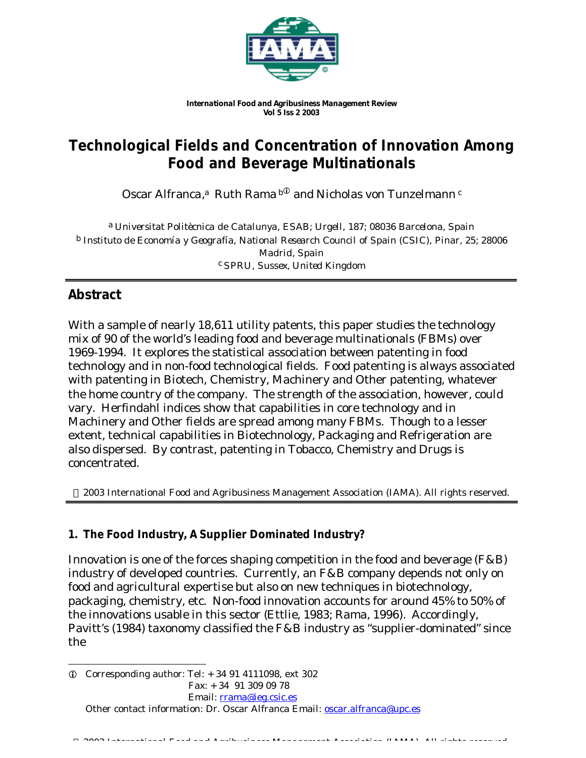

*International Food and Agribusiness Management Review Vol 5 Iss 2 2003*

# **Technological Fields and Concentration of Innovation Among Food and Beverage Multinationals**

Oscar Alfranca,ª Ruth Rama  $\rm{^{b}}^{\tiny{\textregistered}}$  and Nicholas von Tunzelmann  $\rm{^{c}}$ 

a *Universitat Politècnica de Catalunya, ESAB; Urgell, 187; 08036 Barcelona, Spain* b *Instituto de Economía y Geografía, National Research Council of Spain (CSIC), Pinar, 25; 28006 Madrid, Spain* c *SPRU, Sussex, United Kingdom*

# **Abstract**

With a sample of nearly 18,611 utility patents, this paper studies the technology mix of 90 of the world's leading food and beverage multinationals (FBMs) over 1969-1994. It explores the statistical association between patenting in food technology and in non-food technological fields. Food patenting is always associated with patenting in Biotech, Chemistry, Machinery and Other patenting, whatever the home country of the company. The strength of the association, however, could vary. Herfindahl indices show that capabilities in core technology and in Machinery and Other fields are spread among many FBMs. Though to a lesser extent, technical capabilities in Biotechnology, Packaging and Refrigeration are also dispersed. By contrast, patenting in Tobacco, Chemistry and Drugs is concentrated.

2003 International Food and Agribusiness Management Association (IAMA). All rights reserved.

### **1. The Food Industry, A Supplier Dominated Industry?**

Innovation is one of the forces shaping competition in the food and beverage (F&B) industry of developed countries. Currently, an F&B company depends not only on food and agricultural expertise but also on new techniques in biotechnology, packaging, chemistry, etc. Non-food innovation accounts for around 45% to 50% of the innovations usable in this sector (Ettlie, 1983; Rama, 1996). Accordingly, Pavitt's (1984) taxonomy classified the F&B industry as "supplier-dominated" since the

l  $\odot$  Corresponding author: Tel:  $+34914111098$ , ext 302 Fax: + 34 91 309 09 78 Email: rrama@ieg.csic.es Other contact information: Dr. Oscar Alfranca Email: oscar.alfranca@upc.es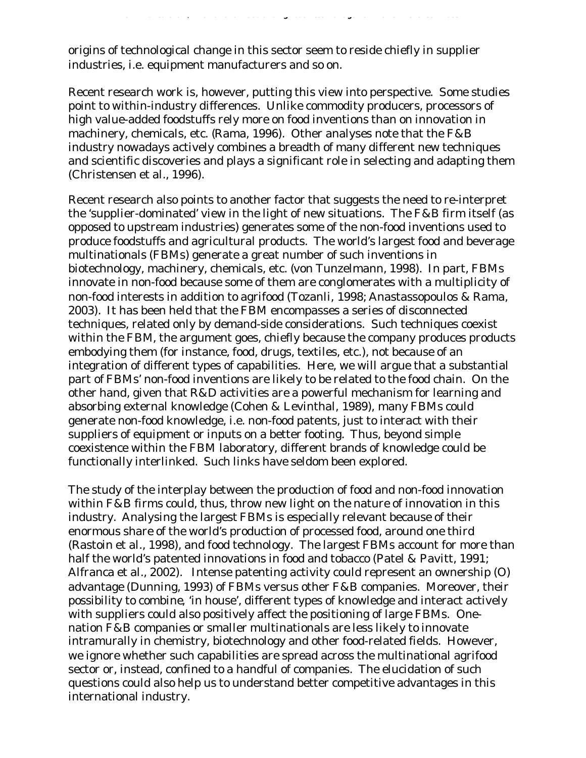origins of technological change in this sector seem to reside chiefly in supplier industries, i.e. equipment manufacturers and so on.

Recent research work is, however, putting this view into perspective. Some studies point to within-industry differences. Unlike commodity producers, processors of high value-added foodstuffs rely more on food inventions than on innovation in machinery, chemicals, etc. (Rama, 1996). Other analyses note that the F&B industry nowadays actively combines a breadth of many different new techniques and scientific discoveries and plays a significant role in selecting and adapting them (Christensen et al., 1996).

*O. Alfranca et al. / International Food and Agribusiness Management Review Vol 5 Iss 2 2003*

Recent research also points to another factor that suggests the need to re-interpret the 'supplier-dominated' view in the light of new situations. The F&B firm itself (as opposed to upstream industries) generates some of the non-food inventions used to produce foodstuffs and agricultural products. The world's largest food and beverage multinationals (FBMs) generate a great number of such inventions in biotechnology, machinery, chemicals, etc. (von Tunzelmann, 1998). In part, FBMs innovate in non-food because some of them are conglomerates with a multiplicity of non-food interests in addition to agrifood (Tozanli, 1998; Anastassopoulos & Rama, 2003). It has been held that the FBM encompasses a series of disconnected techniques, related only by demand-side considerations. Such techniques coexist within the FBM, the argument goes, chiefly because the company produces products embodying them (for instance, food, drugs, textiles, etc.), not because of an integration of different types of capabilities. Here, we will argue that a substantial part of FBMs' non-food inventions are likely to be related to the food chain. On the other hand, given that R&D activities are a powerful mechanism for learning and absorbing external knowledge (Cohen & Levinthal, 1989), many FBMs could generate non-food knowledge, i.e. non-food patents, just to interact with their suppliers of equipment or inputs on a better footing. Thus, beyond simple coexistence within the FBM laboratory, different brands of knowledge could be functionally interlinked. Such links have seldom been explored.

The study of the interplay between the production of food and non-food innovation within F&B firms could, thus, throw new light on the nature of innovation in this industry. Analysing the largest FBMs is especially relevant because of their enormous share of the world's production of processed food, around one third (Rastoin et al., 1998), and food technology. The largest FBMs account for more than half the world's patented innovations in food and tobacco (Patel & Pavitt, 1991; Alfranca et al., 2002). Intense patenting activity could represent an ownership (O) advantage (Dunning, 1993) of FBMs versus other F&B companies. Moreover, their possibility to *combine,* 'in house', different types of knowledge and interact actively with suppliers could also positively affect the positioning of large FBMs. Onenation F&B companies or smaller multinationals are less likely to innovate intramurally in chemistry, biotechnology and other food-related fields. However, we ignore whether such capabilities are spread across the multinational agrifood sector or, instead, confined to a handful of companies. The elucidation of such questions could also help us to understand better competitive advantages in this international industry.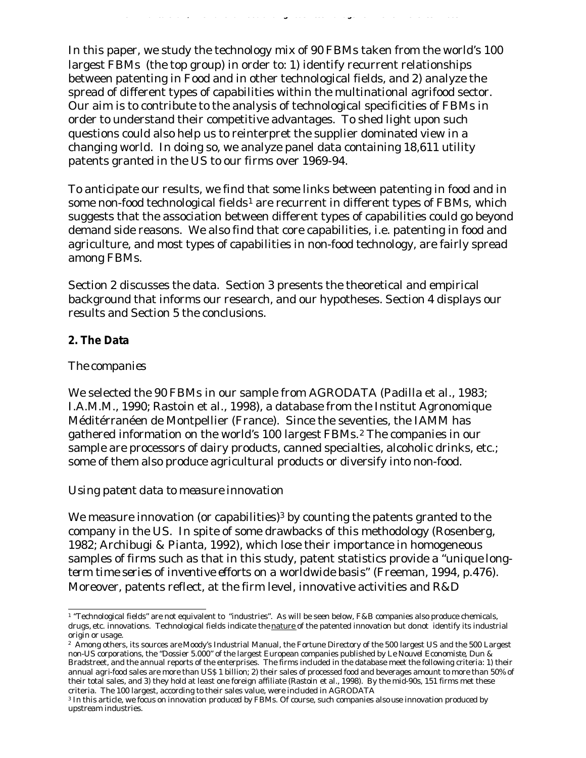In this paper, we study the technology mix of 90 FBMs taken from the world's 100 largest FBMs (the top group) in order to: 1) identify recurrent relationships between patenting in Food and in other technological fields, and 2) analyze the spread of different types of capabilities within the multinational agrifood sector. Our aim is to contribute to the analysis of technological specificities of FBMs in order to understand their competitive advantages. To shed light upon such questions could also help us to reinterpret the supplier dominated view in a changing world. In doing so, we analyze panel data containing 18,611 utility patents granted in the US to our firms over 1969-94.

*O. Alfranca et al. / International Food and Agribusiness Management Review Vol 5 Iss 2 2003*

To anticipate our results, we find that some links between patenting in food and in some non-food technological fields<sup>1</sup> are recurrent in different types of FBMs, which suggests that the association between different types of capabilities could go beyond demand side reasons. We also find that core capabilities, i.e. patenting in food and agriculture, and most types of capabilities in non-food technology, are fairly spread among FBMs.

Section 2 discusses the data. Section 3 presents the theoretical and empirical background that informs our research, and our hypotheses. Section 4 displays our results and Section 5 the conclusions.

### **2. The Data**

#### *The companies*

We selected the 90 FBMs in our sample from AGRODATA (Padilla et al., 1983; I.A.M.M., 1990; Rastoin et al., 1998), a database from the Institut Agronomique Méditérranéen de Montpellier (France). Since the seventies, the IAMM has gathered information on the world's 100 largest FBMs.<sup>2</sup> The companies in our sample are processors of dairy products, canned specialties, alcoholic drinks, etc.; some of them also produce agricultural products or diversify into non-food.

#### *Using patent data to measure innovation*

We measure innovation (or capabilities)<sup>3</sup> by counting the patents granted to the company in the US. In spite of some drawbacks of this methodology (Rosenberg, 1982; Archibugi & Pianta, 1992), which lose their importance in homogeneous samples of firms such as that in this study, patent statistics provide a *"unique longterm time series of inventive efforts on a worldwide basis"* (Freeman, 1994, p.476). Moreover, patents reflect, at the firm level, innovative activities and R&D

 1 "Technological fields" are not equivalent to "industries". As will be seen below, F&B companies also produce chemicals, drugs, etc. innovations. Technological fields indicate the nature of the patented innovation but donot identify its industrial origin or usage.

<sup>2</sup> Among others, its sources are Moody's Industrial Manual, the Fortune Directory of the 500 largest US and the 500 Largest non-US corporations, the "Dossier 5.000" of the largest European companies published by *Le Nouvel Economiste*, Dun & Bradstreet, and the annual reports of the enterprises. The firms included in the database meet the following criteria: 1) their annual agri-food sales are more than US\$ 1 billion; 2) their sales of processed food and beverages amount to more than 50% of their total sales, and 3) they hold at least one foreign affiliate (Rastoin et al., 1998). By the mid-90s, 151 firms met these criteria. The 100 largest, according to their sales value, were included in AGRODATA

<sup>3</sup> In this article, we focus on innovation *produced* by FBMs. Of course, such companies also *use* innovation produced by upstream industries.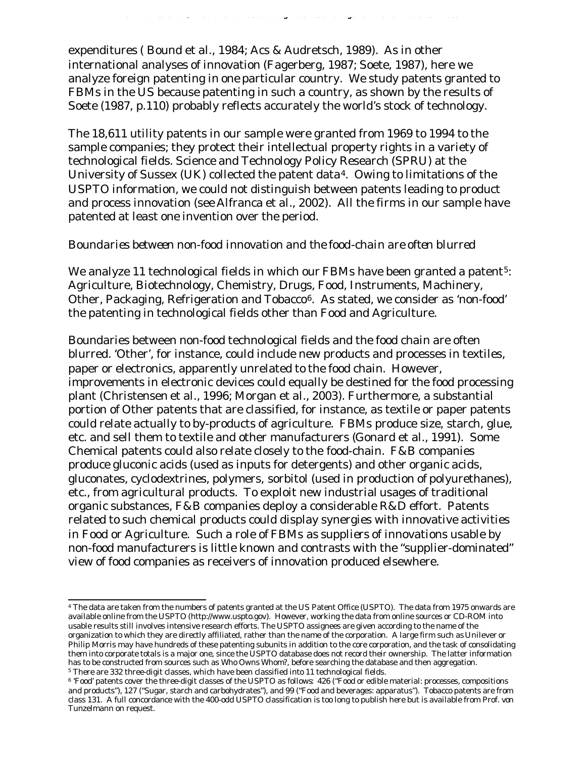expenditures ( Bound et al., 1984; Acs & Audretsch, 1989). As in other international analyses of innovation (Fagerberg, 1987; Soete, 1987), here we analyze foreign patenting in *one* particular country. We study patents granted to FBMs in the US because patenting in such a country, as shown by the results of Soete (1987, p.110) probably reflects accurately the world's stock of technology.

*O. Alfranca et al. / International Food and Agribusiness Management Review Vol 5 Iss 2 2003*

The 18,611 utility patents in our sample were granted from 1969 to 1994 to the sample companies; they protect their intellectual property rights in a variety of technological fields. Science and Technology Policy Research (SPRU) at the University of Sussex (UK) collected the patent data<sup>4</sup>. Owing to limitations of the USPTO information, we could not distinguish between patents leading to product and process innovation (see Alfranca et al., 2002). All the firms in our sample have patented at least one invention over the period.

#### *Boundaries between non-food innovation and the food-chain are often blurred*

We analyze 11 technological fields in which our FBMs have been granted a patent<sup>5</sup>: Agriculture, Biotechnology, Chemistry, Drugs, Food, Instruments, Machinery, Other, Packaging, Refrigeration and Tobacco<sup>6</sup>. As stated, we consider as 'non-food' the patenting in technological fields other than Food and Agriculture.

Boundaries between non-food technological fields and the food chain are often blurred. 'Other', for instance, could include new products and processes in textiles, paper or electronics, apparently unrelated to the food chain. However, improvements in electronic devices could equally be destined for the food processing plant (Christensen et al., 1996; Morgan et al., 2003). Furthermore, a substantial portion of Other patents that are classified, for instance, as textile or paper patents could relate actually to by-products of agriculture. FBMs produce size, starch, glue, etc. and sell them to textile and other manufacturers (Gonard et al., 1991). Some Chemical patents could also relate closely to the food-chain. F&B companies produce gluconic acids (used as inputs for detergents) and other organic acids, gluconates, cyclodextrines, polymers, sorbitol (used in production of polyurethanes), etc., from agricultural products. To exploit new industrial usages of traditional organic substances, F&B companies deploy a considerable R&D effort. Patents related to such chemical products could display synergies with innovative activities in Food or Agriculture. Such a role of FBMs as *suppliers* of innovations usable by non-food manufacturers is little known and contrasts with the "supplier-dominated" view of food companies as receivers of innovation produced elsewhere.

 4 The data are taken from the numbers of patents granted at the US Patent Office (USPTO). The data from 1975 onwards are available online from the USPTO (http://www.uspto.gov). However, working the data from online sources or CD-ROM into usable results still involves intensive research efforts. The USPTO assignees are given according to the name of the organization to which they are directly affiliated, rather than the name of the corporation. A large firm such as Unilever or Philip Morris may have hundreds of these patenting subunits in addition to the core corporation, and the task of consolidating them into corporate totals is a major one, since the USPTO database does not record their ownership. The latter information has to be constructed from sources such as *Who Owns Whom?,* before searching the database and then aggregation. 5 There are 332 three-digit classes, which have been classified into 11 technological fields.

<sup>6</sup> 'Food' patents cover the three-digit classes of the USPTO as follows: 426 ("Food or edible material: processes, compositions and products"), 127 ("Sugar, starch and carbohydrates"), and 99 ("Food and beverages: apparatus"). Tobacco patents are from class 131. A full concordance with the 400-odd USPTO classification is too long to publish here but is available from Prof. von Tunzelmann on request.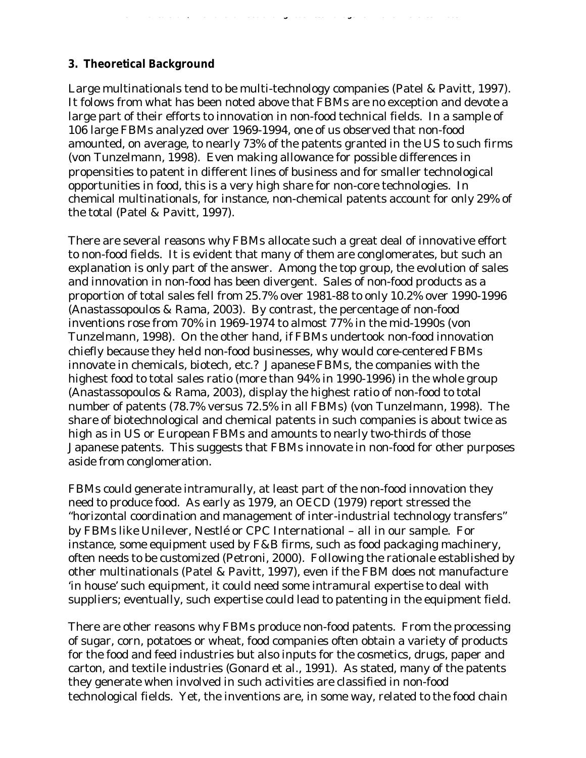### **3. Theoretical Background**

Large multinationals tend to be multi-technology companies (Patel & Pavitt, 1997). It folows from what has been noted above that FBMs are no exception and devote a large part of their efforts to innovation in non-food technical fields. In a sample of 106 large FBMs analyzed over 1969-1994, one of us observed that non-food amounted, on average, to nearly 73% of the patents granted in the US to such firms (von Tunzelmann, 1998). Even making allowance for possible differences in propensities to patent in different lines of business and for smaller technological opportunities in food, this is a very high share for non-core technologies. In chemical multinationals, for instance, non-chemical patents account for only 29% of the total (Patel & Pavitt, 1997).

*O. Alfranca et al. / International Food and Agribusiness Management Review Vol 5 Iss 2 2003*

There are several reasons why FBMs allocate such a great deal of innovative effort to non-food fields. It is evident that many of them are conglomerates, but such an explanation is only part of the answer. Among the top group, the evolution of sales and innovation in non-food has been divergent. Sales of non-food products as a proportion of total sales fell from 25.7% over 1981-88 to only 10.2% over 1990-1996 (Anastassopoulos & Rama, 2003). By contrast, the percentage of non-food inventions rose from 70% in 1969-1974 to almost 77% in the mid-1990s (von Tunzelmann, 1998). On the other hand, if FBMs undertook non-food innovation chiefly because they held non-food businesses, why would core-centered FBMs innovate in chemicals, biotech, etc.? Japanese FBMs, the companies with the highest food to total sales ratio (more than 94% in 1990-1996) in the whole group (Anastassopoulos & Rama, 2003), display the highest ratio of non-food to total number of patents (78.7% versus 72.5% in all FBMs) (von Tunzelmann, 1998). The share of biotechnological and chemical patents in such companies is about twice as high as in US or European FBMs and amounts to nearly two-thirds of those Japanese patents. This suggests that FBMs innovate in non-food for other purposes aside from conglomeration.

FBMs could generate intramurally, at least part of the non-food innovation they need to produce food. As early as 1979, an OECD (1979) report stressed the "horizontal coordination and management of inter-industrial technology transfers" by FBMs like Unilever, Nestlé or CPC International – all in our sample. For instance, some equipment used by F&B firms, such as food packaging machinery, often needs to be customized (Petroni, 2000). Following the rationale established by other multinationals (Patel & Pavitt, 1997), even if the FBM does not manufacture 'in house' such equipment, it could need some intramural expertise to deal with suppliers; eventually, such expertise could lead to patenting in the equipment field.

There are other reasons why FBMs produce non-food patents. From the processing of sugar, corn, potatoes or wheat, food companies often obtain a variety of products for the food and feed industries but also inputs for the cosmetics, drugs, paper and carton, and textile industries (Gonard et al., 1991). As stated, many of the patents they generate when involved in such activities are classified in non-food technological fields. Yet, the inventions are, in some way, related to the food chain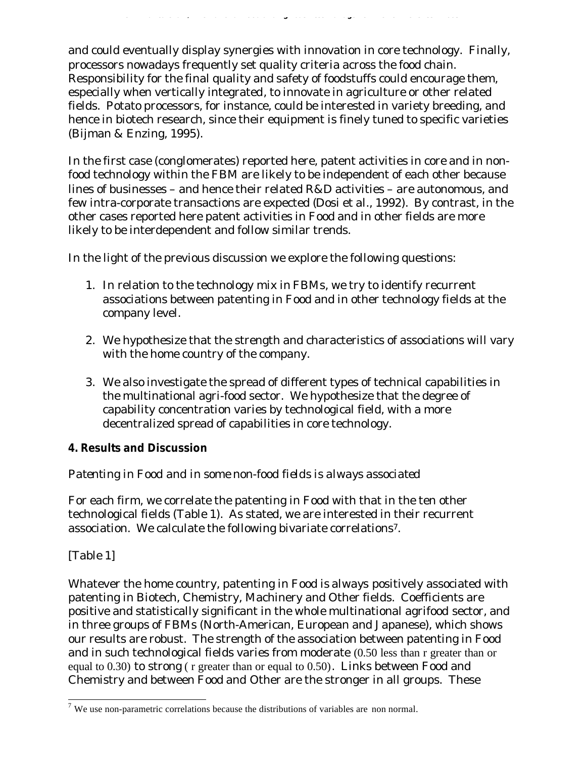and could eventually display synergies with innovation in core technology. Finally, processors nowadays frequently set quality criteria across the food chain. Responsibility for the final quality and safety of foodstuffs could encourage them, especially when vertically integrated, to innovate in agriculture or other related fields. Potato processors, for instance, could be interested in variety breeding, and hence in biotech research, since their equipment is finely tuned to specific varieties (Bijman & Enzing, 1995).

*O. Alfranca et al. / International Food and Agribusiness Management Review Vol 5 Iss 2 2003*

In the first case (conglomerates) reported here, patent activities in core and in nonfood technology within the FBM are likely to be independent of each other because lines of businesses – and hence their related R&D activities – are autonomous, and few intra-corporate transactions are expected (Dosi et al., 1992). By contrast, in the other cases reported here patent activities in Food and in other fields are more likely to be interdependent and follow similar trends.

In the light of the previous discussion we explore the following questions:

- 1. In relation to the technology mix in FBMs, we try to identify recurrent associations between patenting in Food and in other technology fields at the company level.
- 2. We hypothesize that the strength and characteristics of associations will vary with the home country of the company.
- 3. We also investigate the spread of different types of technical capabilities in the multinational agri-food sector. We hypothesize that the degree of capability concentration varies by technological field, with a more decentralized spread of capabilities in core technology.

### **4. Results and Discussion**

# *Patenting in Food and in some non-food fields is always associated*

For each firm, we correlate the patenting in Food with that in the ten other technological fields (Table 1). As stated, we are interested in their recurrent association. We calculate the following bivariate correlations7.

### [Table 1]

Whatever the home country, patenting in Food is *always* positively associated with patenting in Biotech, Chemistry, Machinery and Other fields. Coefficients are positive and statistically significant in the whole multinational agrifood sector, and in three groups of FBMs (North-American, European and Japanese), which shows our results are robust. The strength of the association between patenting in Food and in such technological fields varies from moderate (0.50 less than r greater than or equal to 0.30) to strong ( r greater than or equal to 0.50). Links between Food and Chemistry and between Food and Other are the stronger in all groups. These

<sup>&</sup>lt;sup>7</sup> We use non-parametric correlations because the distributions of variables are non normal.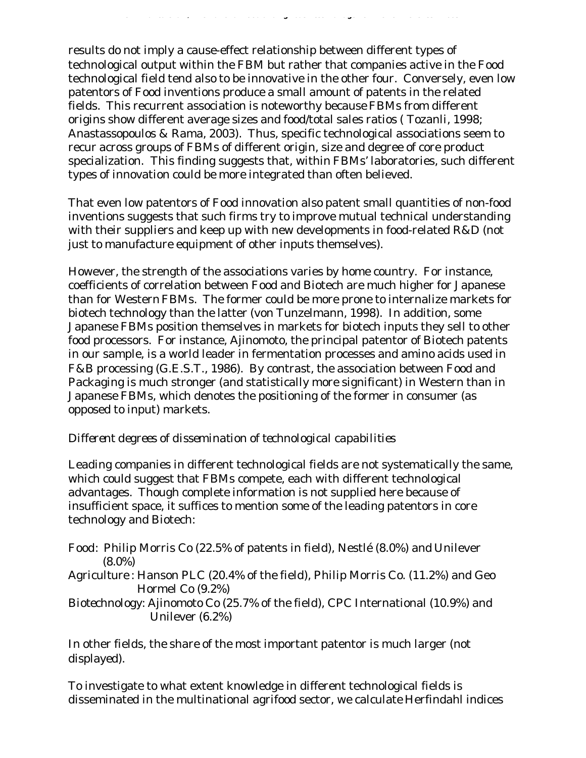results do not imply a cause-effect relationship between different types of technological output within the FBM but rather that companies active in the Food technological field tend also to be innovative in the other four. Conversely, even low patentors of Food inventions produce a small amount of patents in the related fields. This recurrent association is noteworthy because FBMs from different origins show different average sizes and food/total sales ratios ( Tozanli, 1998; Anastassopoulos & Rama, 2003). Thus, specific technological associations seem to recur across groups of FBMs of different origin, size and degree of core product specialization. This finding suggests that, within FBMs' laboratories, such different types of innovation could be more integrated than often believed.

*O. Alfranca et al. / International Food and Agribusiness Management Review Vol 5 Iss 2 2003*

That even low patentors of Food innovation also patent small quantities of non-food inventions suggests that such firms try to improve mutual technical understanding with their suppliers and keep up with new developments in food-related R&D (not just to manufacture equipment of other inputs themselves).

However, the strength of the associations varies by home country. For instance, coefficients of correlation between Food and Biotech are much higher for Japanese than for Western FBMs. The former could be more prone to internalize markets for biotech technology than the latter (von Tunzelmann, 1998). In addition, some Japanese FBMs position themselves in markets for biotech inputs they sell to other food processors. For instance, Ajinomoto, the principal patentor of Biotech patents in our sample, is a world leader in fermentation processes and amino acids used in F&B processing (G.E.S.T., 1986). By contrast, the association between Food and Packaging is much stronger (and statistically more significant) in Western than in Japanese FBMs, which denotes the positioning of the former in consumer (as opposed to input) markets.

### *Different degrees of dissemination of technological capabilities*

Leading companies in different technological fields are not systematically the same, which could suggest that FBMs compete, each with different technological advantages. Though complete information is not supplied here because of insufficient space, it suffices to mention some of the leading patentors in core technology and Biotech:

- *Food:* Philip Morris Co (22.5% of patents in field), Nestlé (8.0%) and Unilever (8.0%)
- *Agriculture :* Hanson PLC (20.4% of the field), Philip Morris Co. (11.2%) and Geo Hormel Co (9.2%)
- *Biotechnology:* Ajinomoto Co (25.7% of the field), CPC International (10.9%) and Unilever (6.2%)

In other fields, the share of the most important patentor is much larger (not displayed).

To investigate to what extent knowledge in different technological fields is disseminated in the multinational agrifood sector, we calculate Herfindahl indices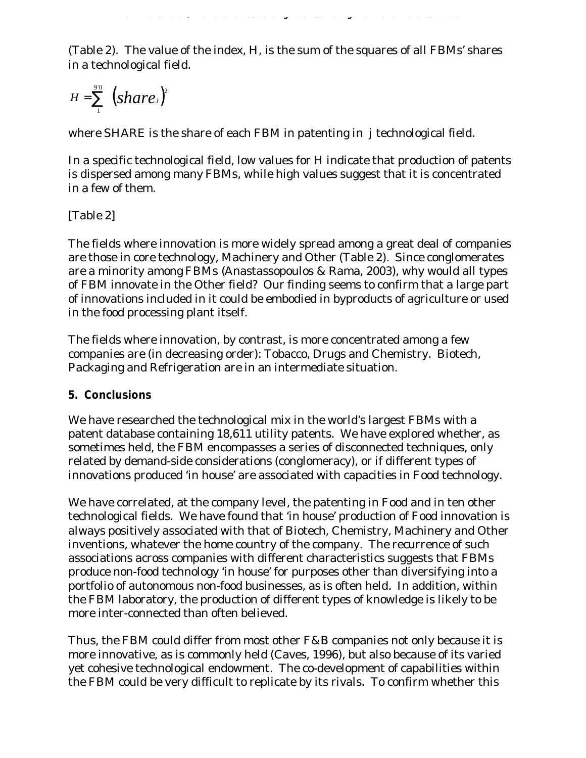(Table 2). The value of the index, H, is the sum of the squares of all FBMs' shares in a technological field.

*O. Alfranca et al. / International Food and Agribusiness Management Review Vol 5 Iss 2 2003*

$$
H=\sum_1^{90} (share)^2
$$

where SHARE is the share of each FBM in patenting in *j* technological field.

In a specific technological field, low values for H indicate that production of patents is dispersed among many FBMs, while high values suggest that it is concentrated in a few of them.

# [Table 2]

The fields where innovation is more widely spread among a great deal of companies are those in core technology, Machinery and Other (Table 2). Since conglomerates are a minority among FBMs (Anastassopoulos & Rama, 2003), why would all types of FBM innovate in the Other field? Our finding seems to confirm that a large part of innovations included in it could be embodied in byproducts of agriculture or used in the food processing plant itself.

The fields where innovation, by contrast, is more concentrated among a few companies are (in decreasing order): Tobacco, Drugs and Chemistry. Biotech, Packaging and Refrigeration are in an intermediate situation.

### **5. Conclusions**

We have researched the technological mix in the world's largest FBMs with a patent database containing 18,611 utility patents. We have explored whether, as sometimes held, the FBM encompasses a series of disconnected techniques, only related by demand-side considerations (conglomeracy), or if different types of innovations produced 'in house' are associated with capacities in Food technology.

We have correlated, at the company level, the patenting in Food and in ten other technological fields. We have found that 'in house' production of Food innovation is always positively associated with that of Biotech, Chemistry, Machinery and Other inventions, whatever the home country of the company. The recurrence of such associations across companies with different characteristics suggests that FBMs produce non-food technology 'in house' for purposes other than diversifying into a portfolio of autonomous non-food businesses, as is often held. In addition, within the FBM laboratory, the production of different types of knowledge is likely to be more inter-connected than often believed.

Thus, the FBM could differ from most other F&B companies not only because it is more innovative, as is commonly held (Caves, 1996), but also because of its varied yet cohesive technological endowment. The co-development of capabilities within the FBM could be very difficult to replicate by its rivals. To confirm whether this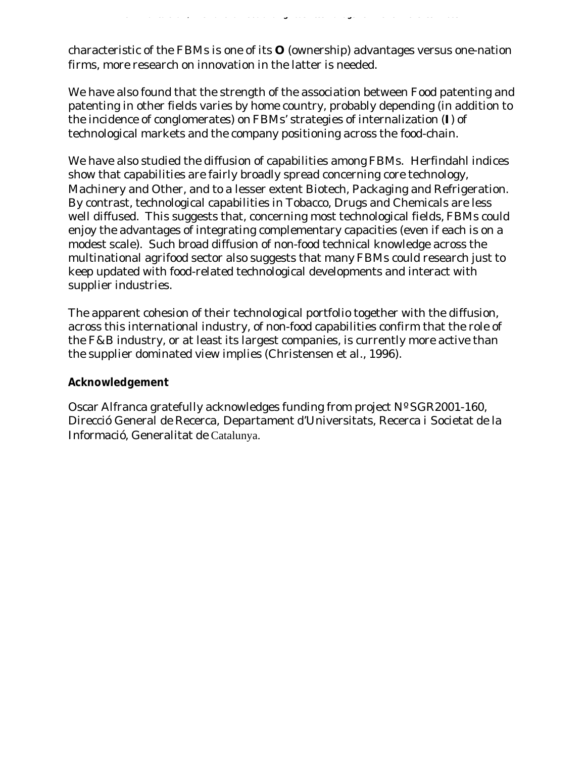characteristic of the FBMs is one of its **O** (ownership) advantages versus one-nation firms, more research on innovation in the latter is needed.

*O. Alfranca et al. / International Food and Agribusiness Management Review Vol 5 Iss 2 2003*

We have also found that the strength of the association between Food patenting and patenting in other fields varies by home country, probably depending (in addition to the incidence of conglomerates) on FBMs' strategies of internalization (**I**) of technological markets and the company positioning across the food-chain.

We have also studied the diffusion of capabilities among FBMs. Herfindahl indices show that capabilities are fairly broadly spread concerning core technology, Machinery and Other, and to a lesser extent Biotech, Packaging and Refrigeration. By contrast, technological capabilities in Tobacco, Drugs and Chemicals are less well diffused. This suggests that, concerning most technological fields, FBMs could enjoy the advantages of integrating complementary capacities (even if each is on a modest scale). Such broad diffusion of non-food technical knowledge across the multinational agrifood sector also suggests that many FBMs could research just to keep updated with food-related technological developments and interact with supplier industries.

The apparent cohesion of their technological portfolio together with the diffusion, across this international industry, of non-food capabilities confirm that the role of the F&B industry, or at least its largest companies, is currently more active than the supplier dominated view implies (Christensen et al., 1996).

#### **Acknowledgement**

Oscar Alfranca gratefully acknowledges funding from project Nº SGR2001-160, Direcció General de Recerca, Departament d'Universitats, Recerca i Societat de la Informació, Generalitat de Catalunya.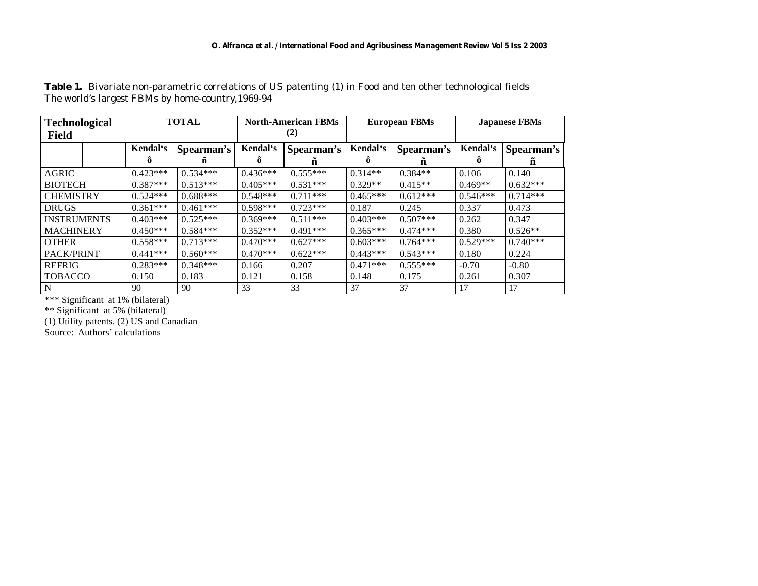#### *O. Alfranca et al. / International Food and Agribusiness Management Review Vol 5 Iss 2 2003*

| <b>Technological</b> | <b>TOTAL</b> |            | <b>North-American FBMs</b> |            | <b>European FBMs</b> |            | <b>Japanese FBMs</b> |            |
|----------------------|--------------|------------|----------------------------|------------|----------------------|------------|----------------------|------------|
| <b>Field</b>         |              |            | (2)                        |            |                      |            |                      |            |
|                      | Kendal's     | Spearman's | Kendal's                   | Spearman's | Kendal's             | Spearman's | Kendal's             | Spearman's |
|                      | ô            | n          | ö                          | n          |                      | n          | Õ                    | n          |
| AGRIC                | $0.423***$   | $0.534***$ | $0.436***$                 | $0.555***$ | $0.314**$            | $0.384**$  | 0.106                | 0.140      |
| <b>BIOTECH</b>       | $0.387***$   | $0.513***$ | $0.405***$                 | $0.531***$ | $0.329**$            | $0.415**$  | $0.469**$            | $0.632***$ |
| <b>CHEMISTRY</b>     | $0.524***$   | $0.688***$ | $0.548***$                 | $0.711***$ | $0.465***$           | $0.612***$ | $0.546***$           | $0.714***$ |
| <b>DRUGS</b>         | $0.361***$   | $0.461***$ | $0.598***$                 | $0.723***$ | 0.187                | 0.245      | 0.337                | 0.473      |
| <b>INSTRUMENTS</b>   | $0.403***$   | $0.525***$ | $0.369***$                 | $0.511***$ | $0.403***$           | $0.507***$ | 0.262                | 0.347      |
| <b>MACHINERY</b>     | $0.450***$   | $0.584***$ | $0.352***$                 | $0.491***$ | $0.365***$           | $0.474***$ | 0.380                | $0.526**$  |
| <b>OTHER</b>         | $0.558***$   | $0.713***$ | $0.470***$                 | $0.627***$ | $0.603***$           | $0.764***$ | $0.529***$           | $0.740***$ |
| PACK/PRINT           | $0.441***$   | $0.560***$ | $0.470***$                 | $0.622***$ | $0.443***$           | $0.543***$ | 0.180                | 0.224      |
| <b>REFRIG</b>        | $0.283***$   | $0.348***$ | 0.166                      | 0.207      | $0.471***$           | $0.555***$ | $-0.70$              | $-0.80$    |
| <b>TOBACCO</b>       | 0.150        | 0.183      | 0.121                      | 0.158      | 0.148                | 0.175      | 0.261                | 0.307      |
| N                    | 90           | 90         | 33                         | 33         | 37                   | 37         | 17                   | 17         |

Table 1. Bivariate non-parametric correlations of US patenting (1) in Food and ten other technological fields The world's largest FBMs by home-country,1969-94

\*\*\* Significant at 1% (bilateral)

\*\* Significant at 5% (bilateral)

(1) Utility patents. (2) US and Canadian

Source: Authors' calculations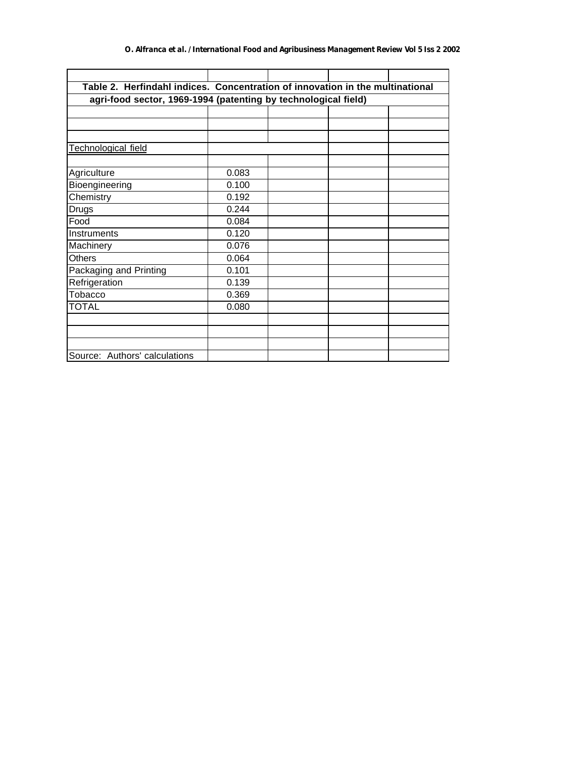| Table 2. Herfindahl indices. Concentration of innovation in the multinational |       |  |  |  |  |  |  |  |  |  |
|-------------------------------------------------------------------------------|-------|--|--|--|--|--|--|--|--|--|
| agri-food sector, 1969-1994 (patenting by technological field)                |       |  |  |  |  |  |  |  |  |  |
|                                                                               |       |  |  |  |  |  |  |  |  |  |
|                                                                               |       |  |  |  |  |  |  |  |  |  |
|                                                                               |       |  |  |  |  |  |  |  |  |  |
| Technological field                                                           |       |  |  |  |  |  |  |  |  |  |
|                                                                               |       |  |  |  |  |  |  |  |  |  |
| Agriculture                                                                   | 0.083 |  |  |  |  |  |  |  |  |  |
| Bioengineering                                                                | 0.100 |  |  |  |  |  |  |  |  |  |
| Chemistry                                                                     | 0.192 |  |  |  |  |  |  |  |  |  |
| <b>Drugs</b>                                                                  | 0.244 |  |  |  |  |  |  |  |  |  |
| Food                                                                          | 0.084 |  |  |  |  |  |  |  |  |  |
| Instruments                                                                   | 0.120 |  |  |  |  |  |  |  |  |  |
| Machinery                                                                     | 0.076 |  |  |  |  |  |  |  |  |  |
| <b>Others</b>                                                                 | 0.064 |  |  |  |  |  |  |  |  |  |
| Packaging and Printing                                                        | 0.101 |  |  |  |  |  |  |  |  |  |
| Refrigeration                                                                 | 0.139 |  |  |  |  |  |  |  |  |  |
| Tobacco                                                                       | 0.369 |  |  |  |  |  |  |  |  |  |
| <b>TOTAL</b>                                                                  | 0.080 |  |  |  |  |  |  |  |  |  |
|                                                                               |       |  |  |  |  |  |  |  |  |  |
|                                                                               |       |  |  |  |  |  |  |  |  |  |
|                                                                               |       |  |  |  |  |  |  |  |  |  |
| Source: Authors' calculations                                                 |       |  |  |  |  |  |  |  |  |  |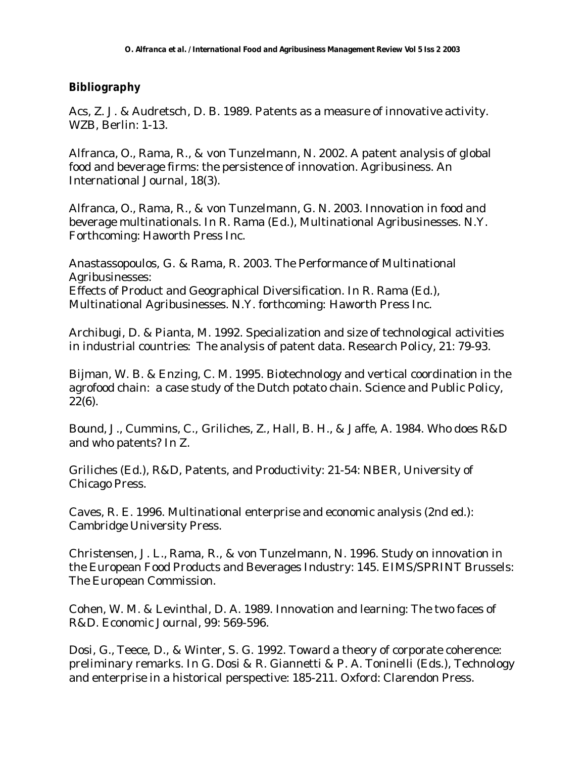#### **Bibliography**

Acs, Z. J. & Audretsch, D. B. 1989. Patents as a measure of innovative activity. WZB, Berlin: 1-13.

Alfranca, O., Rama, R., & von Tunzelmann, N. 2002. A patent analysis of global food and beverage firms: the persistence of innovation. Agribusiness. An International Journal, 18(3).

Alfranca, O., Rama, R., & von Tunzelmann, G. N. 2003. Innovation in food and beverage multinationals. In R. Rama (Ed.), Multinational Agribusinesses. N.Y. Forthcoming: Haworth Press Inc.

Anastassopoulos, G. & Rama, R. 2003. The Performance of Multinational Agribusinesses: Effects of Product and Geographical Diversification. In R. Rama (Ed.), Multinational Agribusinesses. N.Y. forthcoming: Haworth Press Inc.

Archibugi, D. & Pianta, M. 1992. Specialization and size of technological activities in industrial countries: The analysis of patent data. Research Policy, 21: 79-93.

Bijman, W. B. & Enzing, C. M. 1995. Biotechnology and vertical coordination in the agrofood chain: a case study of the Dutch potato chain. Science and Public Policy, 22(6).

Bound, J., Cummins, C., Griliches, Z., Hall, B. H., & Jaffe, A. 1984. Who does R&D and who patents? In Z.

Griliches (Ed.), R&D, Patents, and Productivity: 21-54: NBER, University of Chicago Press.

Caves, R. E. 1996. Multinational enterprise and economic analysis (2nd ed.): Cambridge University Press.

Christensen, J. L., Rama, R., & von Tunzelmann, N. 1996. Study on innovation in the European Food Products and Beverages Industry: 145. EIMS/SPRINT Brussels: The European Commission.

Cohen, W. M. & Levinthal, D. A. 1989. Innovation and learning: The two faces of R&D. Economic Journal, 99: 569-596.

Dosi, G., Teece, D., & Winter, S. G. 1992. Toward a theory of corporate coherence: preliminary remarks. In G. Dosi & R. Giannetti & P. A. Toninelli (Eds.), Technology and enterprise in a historical perspective: 185-211. Oxford: Clarendon Press.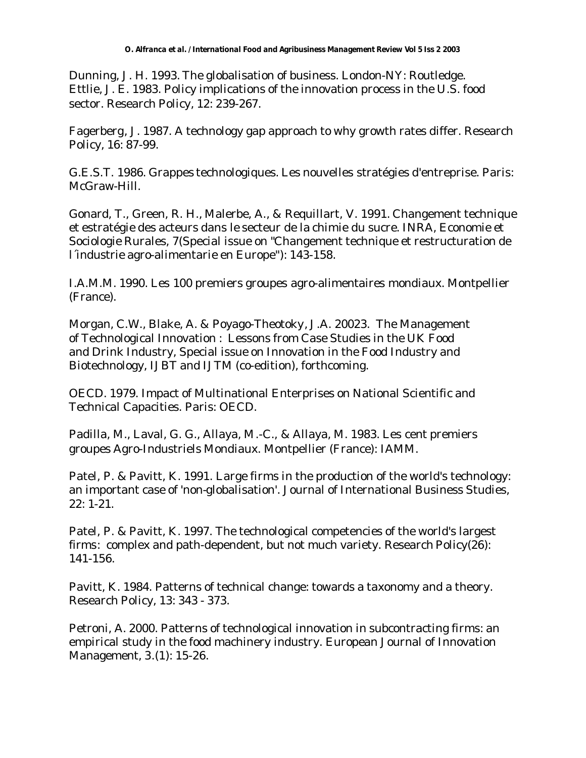Dunning, J. H. 1993. The globalisation of business. London-NY: Routledge. Ettlie, J. E. 1983. Policy implications of the innovation process in the U.S. food sector. Research Policy, 12: 239-267.

Fagerberg, J. 1987. A technology gap approach to why growth rates differ. Research Policy, 16: 87-99.

G.E.S.T. 1986. Grappes technologiques. Les nouvelles stratégies d'entreprise. Paris: McGraw-Hill.

Gonard, T., Green, R. H., Malerbe, A., & Requillart, V. 1991. Changement technique et estratégie des acteurs dans le secteur de la chimie du sucre. INRA, Economie et Sociologie Rurales, 7(Special issue on "Changement technique et restructuration de l´industrie agro-alimentarie en Europe"): 143-158.

I.A.M.M. 1990. Les 100 premiers groupes agro-alimentaires mondiaux. Montpellier (France).

Morgan, C.W., Blake, A. & Poyago-Theotoky, J.A. 20023. The Management of Technological Innovation : Lessons from Case Studies in the UK Food and Drink Industry, Special issue on Innovation in the Food Industry and Biotechnology, IJBT and IJTM (co-edition), forthcoming.

OECD. 1979. Impact of Multinational Enterprises on National Scientific and Technical Capacities. Paris: OECD.

Padilla, M., Laval, G. G., Allaya, M.-C., & Allaya, M. 1983. Les cent premiers groupes Agro-Industriels Mondiaux. Montpellier (France): IAMM.

Patel, P. & Pavitt, K. 1991. Large firms in the production of the world's technology: an important case of 'non-globalisation'. Journal of International Business Studies, 22: 1-21.

Patel, P. & Pavitt, K. 1997. The technological competencies of the world's largest firms: complex and path-dependent, but not much variety. Research Policy(26): 141-156.

Pavitt, K. 1984. Patterns of technical change: towards a taxonomy and a theory. Research Policy, 13: 343 - 373.

Petroni, A. 2000. Patterns of technological innovation in subcontracting firms: an empirical study in the food machinery industry. European Journal of Innovation Management, 3.(1): 15-26.